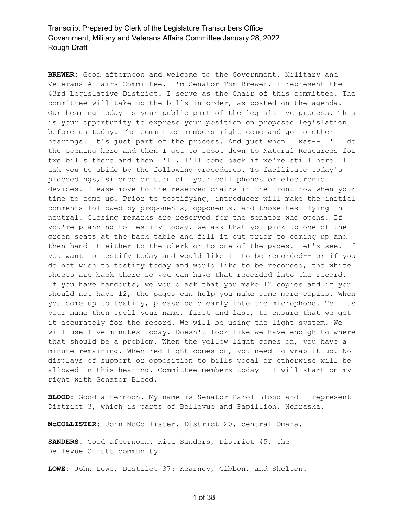**BREWER:** Good afternoon and welcome to the Government, Military and Veterans Affairs Committee. I'm Senator Tom Brewer. I represent the 43rd Legislative District. I serve as the Chair of this committee. The committee will take up the bills in order, as posted on the agenda. Our hearing today is your public part of the legislative process. This is your opportunity to express your position on proposed legislation before us today. The committee members might come and go to other hearings. It's just part of the process. And just when I was-- I'll do the opening here and then I got to scoot down to Natural Resources for two bills there and then I'll, I'll come back if we're still here. I ask you to abide by the following procedures. To facilitate today's proceedings, silence or turn off your cell phones or electronic devices. Please move to the reserved chairs in the front row when your time to come up. Prior to testifying, introducer will make the initial comments followed by proponents, opponents, and those testifying in neutral. Closing remarks are reserved for the senator who opens. If you're planning to testify today, we ask that you pick up one of the green seats at the back table and fill it out prior to coming up and then hand it either to the clerk or to one of the pages. Let's see. If you want to testify today and would like it to be recorded-- or if you do not wish to testify today and would like to be recorded, the white sheets are back there so you can have that recorded into the record. If you have handouts, we would ask that you make 12 copies and if you should not have 12, the pages can help you make some more copies. When you come up to testify, please be clearly into the microphone. Tell us your name then spell your name, first and last, to ensure that we get it accurately for the record. We will be using the light system. We will use five minutes today. Doesn't look like we have enough to where that should be a problem. When the yellow light comes on, you have a minute remaining. When red light comes on, you need to wrap it up. No displays of support or opposition to bills vocal or otherwise will be allowed in this hearing. Committee members today-- I will start on my right with Senator Blood.

**BLOOD:** Good afternoon. My name is Senator Carol Blood and I represent District 3, which is parts of Bellevue and Papillion, Nebraska.

**McCOLLISTER:** John McCollister, District 20, central Omaha.

**SANDERS:** Good afternoon. Rita Sanders, District 45, the Bellevue-Offutt community.

**LOWE:** John Lowe, District 37: Kearney, Gibbon, and Shelton.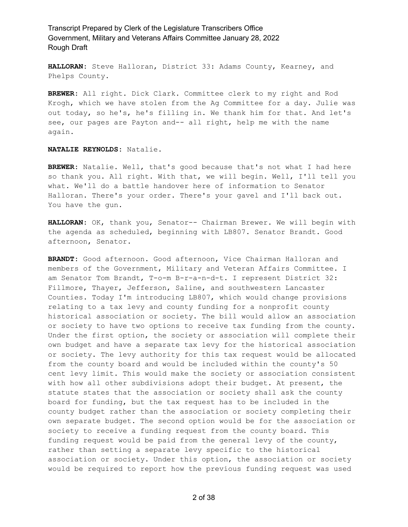**HALLORAN:** Steve Halloran, District 33: Adams County, Kearney, and Phelps County.

**BREWER:** All right. Dick Clark. Committee clerk to my right and Rod Krogh, which we have stolen from the Ag Committee for a day. Julie was out today, so he's, he's filling in. We thank him for that. And let's see, our pages are Payton and-- all right, help me with the name again.

#### **NATALIE REYNOLDS:** Natalie.

**BREWER:** Natalie. Well, that's good because that's not what I had here so thank you. All right. With that, we will begin. Well, I'll tell you what. We'll do a battle handover here of information to Senator Halloran. There's your order. There's your gavel and I'll back out. You have the gun.

**HALLORAN:** OK, thank you, Senator-- Chairman Brewer. We will begin with the agenda as scheduled, beginning with LB807. Senator Brandt. Good afternoon, Senator.

**BRANDT:** Good afternoon. Good afternoon, Vice Chairman Halloran and members of the Government, Military and Veteran Affairs Committee. I am Senator Tom Brandt, T-o-m B-r-a-n-d-t. I represent District 32: Fillmore, Thayer, Jefferson, Saline, and southwestern Lancaster Counties. Today I'm introducing LB807, which would change provisions relating to a tax levy and county funding for a nonprofit county historical association or society. The bill would allow an association or society to have two options to receive tax funding from the county. Under the first option, the society or association will complete their own budget and have a separate tax levy for the historical association or society. The levy authority for this tax request would be allocated from the county board and would be included within the county's 50 cent levy limit. This would make the society or association consistent with how all other subdivisions adopt their budget. At present, the statute states that the association or society shall ask the county board for funding, but the tax request has to be included in the county budget rather than the association or society completing their own separate budget. The second option would be for the association or society to receive a funding request from the county board. This funding request would be paid from the general levy of the county, rather than setting a separate levy specific to the historical association or society. Under this option, the association or society would be required to report how the previous funding request was used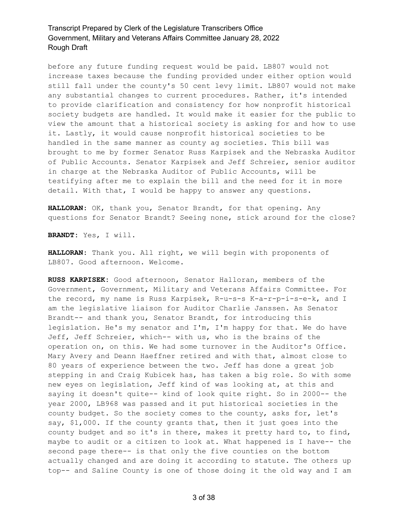before any future funding request would be paid. LB807 would not increase taxes because the funding provided under either option would still fall under the county's 50 cent levy limit. LB807 would not make any substantial changes to current procedures. Rather, it's intended to provide clarification and consistency for how nonprofit historical society budgets are handled. It would make it easier for the public to view the amount that a historical society is asking for and how to use it. Lastly, it would cause nonprofit historical societies to be handled in the same manner as county ag societies. This bill was brought to me by former Senator Russ Karpisek and the Nebraska Auditor of Public Accounts. Senator Karpisek and Jeff Schreier, senior auditor in charge at the Nebraska Auditor of Public Accounts, will be testifying after me to explain the bill and the need for it in more detail. With that, I would be happy to answer any questions.

**HALLORAN:** OK, thank you, Senator Brandt, for that opening. Any questions for Senator Brandt? Seeing none, stick around for the close?

**BRANDT:** Yes, I will.

**HALLORAN:** Thank you. All right, we will begin with proponents of LB807. Good afternoon. Welcome.

**RUSS KARPISEK:** Good afternoon, Senator Halloran, members of the Government, Government, Military and Veterans Affairs Committee. For the record, my name is Russ Karpisek, R-u-s-s K-a-r-p-i-s-e-k, and I am the legislative liaison for Auditor Charlie Janssen. As Senator Brandt-- and thank you, Senator Brandt, for introducing this legislation. He's my senator and I'm, I'm happy for that. We do have Jeff, Jeff Schreier, which-- with us, who is the brains of the operation on, on this. We had some turnover in the Auditor's Office. Mary Avery and Deann Haeffner retired and with that, almost close to 80 years of experience between the two. Jeff has done a great job stepping in and Craig Kubicek has, has taken a big role. So with some new eyes on legislation, Jeff kind of was looking at, at this and saying it doesn't quite-- kind of look quite right. So in 2000-- the year 2000, LB968 was passed and it put historical societies in the county budget. So the society comes to the county, asks for, let's say, \$1,000. If the county grants that, then it just goes into the county budget and so it's in there, makes it pretty hard to, to find, maybe to audit or a citizen to look at. What happened is I have-- the second page there-- is that only the five counties on the bottom actually changed and are doing it according to statute. The others up top-- and Saline County is one of those doing it the old way and I am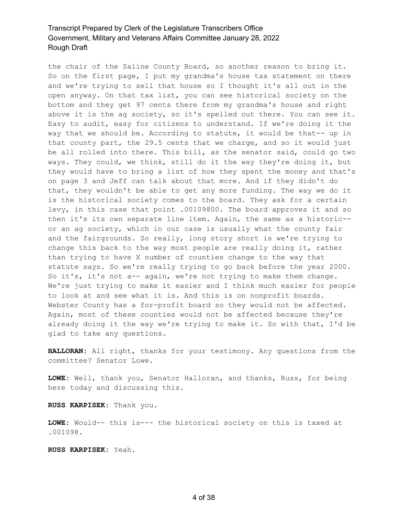the chair of the Saline County Board, so another reason to bring it. So on the first page, I put my grandma's house tax statement on there and we're trying to sell that house so I thought it's all out in the open anyway. On that tax list, you can see historical society on the bottom and they get 97 cents there from my grandma's house and right above it is the ag society, so it's spelled out there. You can see it. Easy to audit, easy for citizens to understand. If we're doing it the way that we should be. According to statute, it would be that-- up in that county part, the 29.5 cents that we charge, and so it would just be all rolled into there. This bill, as the senator said, could go two ways. They could, we think, still do it the way they're doing it, but they would have to bring a list of how they spent the money and that's on page 3 and Jeff can talk about that more. And if they didn't do that, they wouldn't be able to get any more funding. The way we do it is the historical society comes to the board. They ask for a certain levy, in this case that point .00109800. The board approves it and so then it's its own separate line item. Again, the same as a historic- or an ag society, which in our case is usually what the county fair and the fairgrounds. So really, long story short is we're trying to change this back to the way most people are really doing it, rather than trying to have X number of counties change to the way that statute says. So we're really trying to go back before the year 2000. So it's, it's not a-- again, we're not trying to make them change. We're just trying to make it easier and I think much easier for people to look at and see what it is. And this is on nonprofit boards. Webster County has a for-profit board so they would not be affected. Again, most of these counties would not be affected because they're already doing it the way we're trying to make it. So with that, I'd be glad to take any questions.

**HALLORAN:** All right, thanks for your testimony. Any questions from the committee? Senator Lowe.

**LOWE:** Well, thank you, Senator Halloran, and thanks, Russ, for being here today and discussing this.

**RUSS KARPISEK:** Thank you.

**LOWE:** Would-- this is--- the historical society on this is taxed at .001098.

**RUSS KARPISEK:** Yeah.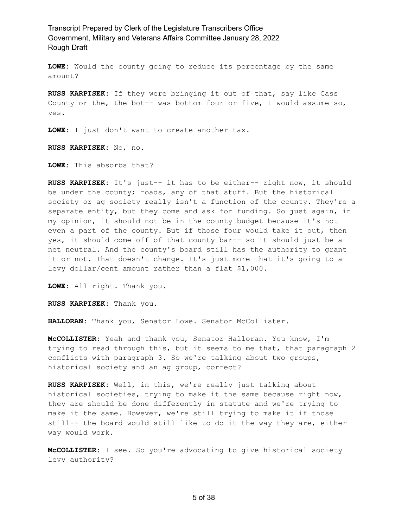**LOWE:** Would the county going to reduce its percentage by the same amount?

**RUSS KARPISEK:** If they were bringing it out of that, say like Cass County or the, the bot-- was bottom four or five, I would assume so, yes.

**LOWE:** I just don't want to create another tax.

**RUSS KARPISEK:** No, no.

**LOWE:** This absorbs that?

**RUSS KARPISEK:** It's just-- it has to be either-- right now, it should be under the county; roads, any of that stuff. But the historical society or ag society really isn't a function of the county. They're a separate entity, but they come and ask for funding. So just again, in my opinion, it should not be in the county budget because it's not even a part of the county. But if those four would take it out, then yes, it should come off of that county bar-- so it should just be a net neutral. And the county's board still has the authority to grant it or not. That doesn't change. It's just more that it's going to a levy dollar/cent amount rather than a flat \$1,000.

**LOWE:** All right. Thank you.

**RUSS KARPISEK:** Thank you.

**HALLORAN:** Thank you, Senator Lowe. Senator McCollister.

**McCOLLISTER:** Yeah and thank you, Senator Halloran. You know, I'm trying to read through this, but it seems to me that, that paragraph 2 conflicts with paragraph 3. So we're talking about two groups, historical society and an ag group, correct?

**RUSS KARPISEK:** Well, in this, we're really just talking about historical societies, trying to make it the same because right now, they are should be done differently in statute and we're trying to make it the same. However, we're still trying to make it if those still-- the board would still like to do it the way they are, either way would work.

**McCOLLISTER:** I see. So you're advocating to give historical society levy authority?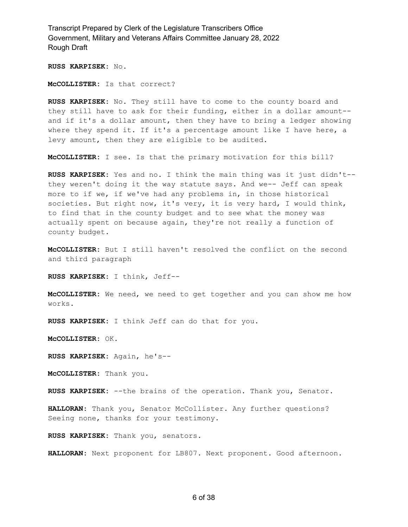**RUSS KARPISEK:** No.

**McCOLLISTER:** Is that correct?

**RUSS KARPISEK:** No. They still have to come to the county board and they still have to ask for their funding, either in a dollar amount- and if it's a dollar amount, then they have to bring a ledger showing where they spend it. If it's a percentage amount like I have here, a levy amount, then they are eligible to be audited.

**McCOLLISTER:** I see. Is that the primary motivation for this bill?

**RUSS KARPISEK:** Yes and no. I think the main thing was it just didn't- they weren't doing it the way statute says. And we-- Jeff can speak more to if we, if we've had any problems in, in those historical societies. But right now, it's very, it is very hard, I would think, to find that in the county budget and to see what the money was actually spent on because again, they're not really a function of county budget.

**McCOLLISTER:** But I still haven't resolved the conflict on the second and third paragraph

**RUSS KARPISEK:** I think, Jeff--

**McCOLLISTER:** We need, we need to get together and you can show me how works.

**RUSS KARPISEK:** I think Jeff can do that for you.

**McCOLLISTER:** OK.

**RUSS KARPISEK:** Again, he's--

**McCOLLISTER:** Thank you.

**RUSS KARPISEK:** --the brains of the operation. Thank you, Senator.

**HALLORAN:** Thank you, Senator McCollister. Any further questions? Seeing none, thanks for your testimony.

**RUSS KARPISEK:** Thank you, senators.

**HALLORAN:** Next proponent for LB807. Next proponent. Good afternoon.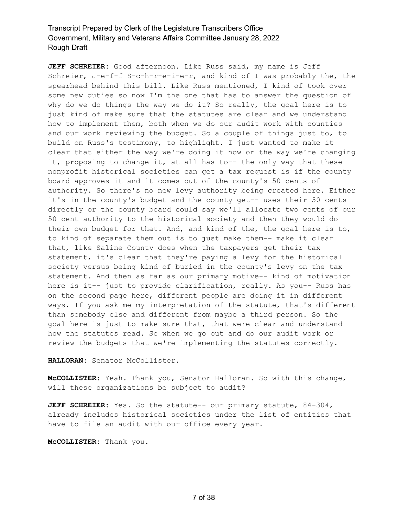**JEFF SCHREIER:** Good afternoon. Like Russ said, my name is Jeff Schreier, J-e-f-f S-c-h-r-e-i-e-r, and kind of I was probably the, the spearhead behind this bill. Like Russ mentioned, I kind of took over some new duties so now I'm the one that has to answer the question of why do we do things the way we do it? So really, the goal here is to just kind of make sure that the statutes are clear and we understand how to implement them, both when we do our audit work with counties and our work reviewing the budget. So a couple of things just to, to build on Russ's testimony, to highlight. I just wanted to make it clear that either the way we're doing it now or the way we're changing it, proposing to change it, at all has to-- the only way that these nonprofit historical societies can get a tax request is if the county board approves it and it comes out of the county's 50 cents of authority. So there's no new levy authority being created here. Either it's in the county's budget and the county get-- uses their 50 cents directly or the county board could say we'll allocate two cents of our 50 cent authority to the historical society and then they would do their own budget for that. And, and kind of the, the goal here is to, to kind of separate them out is to just make them-- make it clear that, like Saline County does when the taxpayers get their tax statement, it's clear that they're paying a levy for the historical society versus being kind of buried in the county's levy on the tax statement. And then as far as our primary motive-- kind of motivation here is it-- just to provide clarification, really. As you-- Russ has on the second page here, different people are doing it in different ways. If you ask me my interpretation of the statute, that's different than somebody else and different from maybe a third person. So the goal here is just to make sure that, that were clear and understand how the statutes read. So when we go out and do our audit work or review the budgets that we're implementing the statutes correctly.

HALLORAN: Senator McCollister.

**McCOLLISTER:** Yeah. Thank you, Senator Halloran. So with this change, will these organizations be subject to audit?

**JEFF SCHREIER:** Yes. So the statute-- our primary statute, 84-304, already includes historical societies under the list of entities that have to file an audit with our office every year.

**McCOLLISTER:** Thank you.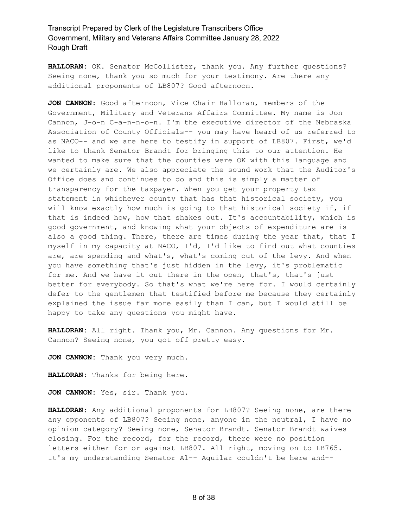**HALLORAN:** OK. Senator McCollister, thank you. Any further questions? Seeing none, thank you so much for your testimony. Are there any additional proponents of LB807? Good afternoon.

**JON CANNON:** Good afternoon, Vice Chair Halloran, members of the Government, Military and Veterans Affairs Committee. My name is Jon Cannon, J-o-n C-a-n-n-o-n. I'm the executive director of the Nebraska Association of County Officials-- you may have heard of us referred to as NACO-- and we are here to testify in support of LB807. First, we'd like to thank Senator Brandt for bringing this to our attention. He wanted to make sure that the counties were OK with this language and we certainly are. We also appreciate the sound work that the Auditor's Office does and continues to do and this is simply a matter of transparency for the taxpayer. When you get your property tax statement in whichever county that has that historical society, you will know exactly how much is going to that historical society if, if that is indeed how, how that shakes out. It's accountability, which is good government, and knowing what your objects of expenditure are is also a good thing. There, there are times during the year that, that I myself in my capacity at NACO, I'd, I'd like to find out what counties are, are spending and what's, what's coming out of the levy. And when you have something that's just hidden in the levy, it's problematic for me. And we have it out there in the open, that's, that's just better for everybody. So that's what we're here for. I would certainly defer to the gentlemen that testified before me because they certainly explained the issue far more easily than I can, but I would still be happy to take any questions you might have.

**HALLORAN:** All right. Thank you, Mr. Cannon. Any questions for Mr. Cannon? Seeing none, you got off pretty easy.

**JON CANNON:** Thank you very much.

**HALLORAN:** Thanks for being here.

**JON CANNON:** Yes, sir. Thank you.

**HALLORAN:** Any additional proponents for LB807? Seeing none, are there any opponents of LB807? Seeing none, anyone in the neutral, I have no opinion category? Seeing none, Senator Brandt. Senator Brandt waives closing. For the record, for the record, there were no position letters either for or against LB807. All right, moving on to LB765. It's my understanding Senator Al-- Aguilar couldn't be here and--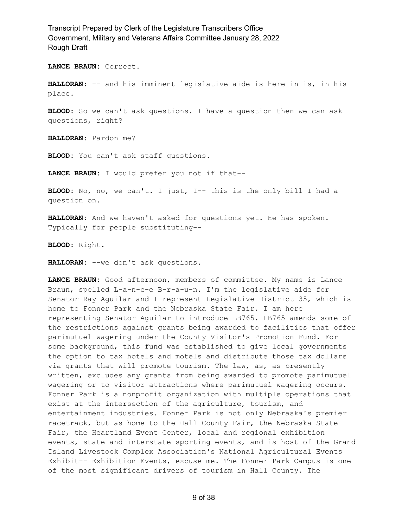**LANCE BRAUN:** Correct.

**HALLORAN:** -- and his imminent legislative aide is here in is, in his place.

**BLOOD:** So we can't ask questions. I have a question then we can ask questions, right?

**HALLORAN:** Pardon me?

**BLOOD:** You can't ask staff questions.

**LANCE BRAUN:** I would prefer you not if that--

**BLOOD:** No, no, we can't. I just, I-- this is the only bill I had a question on.

**HALLORAN:** And we haven't asked for questions yet. He has spoken. Typically for people substituting--

**BLOOD:** Right.

**HALLORAN:** --we don't ask questions.

**LANCE BRAUN:** Good afternoon, members of committee. My name is Lance Braun, spelled L-a-n-c-e B-r-a-u-n. I'm the legislative aide for Senator Ray Aguilar and I represent Legislative District 35, which is home to Fonner Park and the Nebraska State Fair. I am here representing Senator Aguilar to introduce LB765. LB765 amends some of the restrictions against grants being awarded to facilities that offer parimutuel wagering under the County Visitor's Promotion Fund. For some background, this fund was established to give local governments the option to tax hotels and motels and distribute those tax dollars via grants that will promote tourism. The law, as, as presently written, excludes any grants from being awarded to promote parimutuel wagering or to visitor attractions where parimutuel wagering occurs. Fonner Park is a nonprofit organization with multiple operations that exist at the intersection of the agriculture, tourism, and entertainment industries. Fonner Park is not only Nebraska's premier racetrack, but as home to the Hall County Fair, the Nebraska State Fair, the Heartland Event Center, local and regional exhibition events, state and interstate sporting events, and is host of the Grand Island Livestock Complex Association's National Agricultural Events Exhibit-- Exhibition Events, excuse me. The Fonner Park Campus is one of the most significant drivers of tourism in Hall County. The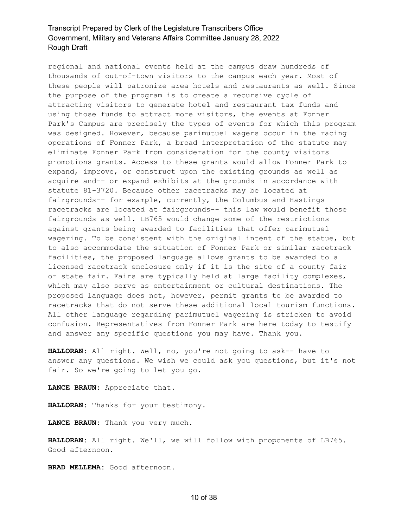regional and national events held at the campus draw hundreds of thousands of out-of-town visitors to the campus each year. Most of these people will patronize area hotels and restaurants as well. Since the purpose of the program is to create a recursive cycle of attracting visitors to generate hotel and restaurant tax funds and using those funds to attract more visitors, the events at Fonner Park's Campus are precisely the types of events for which this program was designed. However, because parimutuel wagers occur in the racing operations of Fonner Park, a broad interpretation of the statute may eliminate Fonner Park from consideration for the county visitors promotions grants. Access to these grants would allow Fonner Park to expand, improve, or construct upon the existing grounds as well as acquire and-- or expand exhibits at the grounds in accordance with statute 81-3720. Because other racetracks may be located at fairgrounds-- for example, currently, the Columbus and Hastings racetracks are located at fairgrounds-- this law would benefit those fairgrounds as well. LB765 would change some of the restrictions against grants being awarded to facilities that offer parimutuel wagering. To be consistent with the original intent of the statue, but to also accommodate the situation of Fonner Park or similar racetrack facilities, the proposed language allows grants to be awarded to a licensed racetrack enclosure only if it is the site of a county fair or state fair. Fairs are typically held at large facility complexes, which may also serve as entertainment or cultural destinations. The proposed language does not, however, permit grants to be awarded to racetracks that do not serve these additional local tourism functions. All other language regarding parimutuel wagering is stricken to avoid confusion. Representatives from Fonner Park are here today to testify and answer any specific questions you may have. Thank you.

**HALLORAN:** All right. Well, no, you're not going to ask-- have to answer any questions. We wish we could ask you questions, but it's not fair. So we're going to let you go.

**LANCE BRAUN:** Appreciate that.

**HALLORAN:** Thanks for your testimony.

**LANCE BRAUN:** Thank you very much.

**HALLORAN:** All right. We'll, we will follow with proponents of LB765. Good afternoon.

**BRAD MELLEMA:** Good afternoon.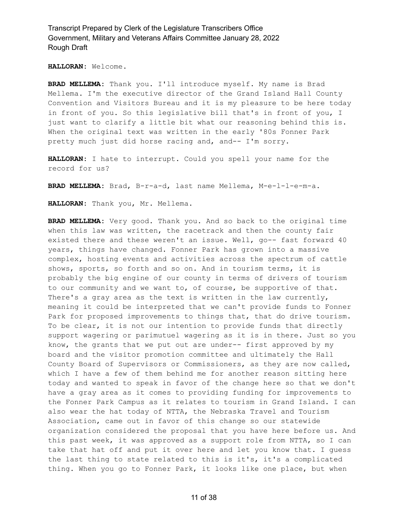#### **HALLORAN:** Welcome.

**BRAD MELLEMA:** Thank you. I'll introduce myself. My name is Brad Mellema. I'm the executive director of the Grand Island Hall County Convention and Visitors Bureau and it is my pleasure to be here today in front of you. So this legislative bill that's in front of you, I just want to clarify a little bit what our reasoning behind this is. When the original text was written in the early '80s Fonner Park pretty much just did horse racing and, and-- I'm sorry.

**HALLORAN:** I hate to interrupt. Could you spell your name for the record for us?

**BRAD MELLEMA:** Brad, B-r-a-d, last name Mellema, M-e-l-l-e-m-a.

**HALLORAN:** Thank you, Mr. Mellema.

**BRAD MELLEMA:** Very good. Thank you. And so back to the original time when this law was written, the racetrack and then the county fair existed there and these weren't an issue. Well, go-- fast forward 40 years, things have changed. Fonner Park has grown into a massive complex, hosting events and activities across the spectrum of cattle shows, sports, so forth and so on. And in tourism terms, it is probably the big engine of our county in terms of drivers of tourism to our community and we want to, of course, be supportive of that. There's a gray area as the text is written in the law currently, meaning it could be interpreted that we can't provide funds to Fonner Park for proposed improvements to things that, that do drive tourism. To be clear, it is not our intention to provide funds that directly support wagering or parimutuel wagering as it is in there. Just so you know, the grants that we put out are under-- first approved by my board and the visitor promotion committee and ultimately the Hall County Board of Supervisors or Commissioners, as they are now called, which I have a few of them behind me for another reason sitting here today and wanted to speak in favor of the change here so that we don't have a gray area as it comes to providing funding for improvements to the Fonner Park Campus as it relates to tourism in Grand Island. I can also wear the hat today of NTTA, the Nebraska Travel and Tourism Association, came out in favor of this change so our statewide organization considered the proposal that you have here before us. And this past week, it was approved as a support role from NTTA, so I can take that hat off and put it over here and let you know that. I guess the last thing to state related to this is it's, it's a complicated thing. When you go to Fonner Park, it looks like one place, but when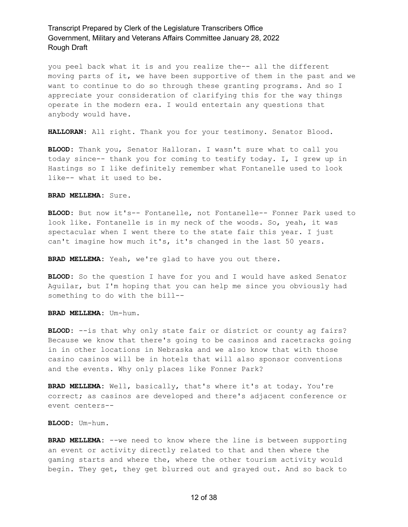you peel back what it is and you realize the-- all the different moving parts of it, we have been supportive of them in the past and we want to continue to do so through these granting programs. And so I appreciate your consideration of clarifying this for the way things operate in the modern era. I would entertain any questions that anybody would have.

**HALLORAN:** All right. Thank you for your testimony. Senator Blood.

**BLOOD:** Thank you, Senator Halloran. I wasn't sure what to call you today since-- thank you for coming to testify today. I, I grew up in Hastings so I like definitely remember what Fontanelle used to look like-- what it used to be.

#### **BRAD MELLEMA:** Sure.

**BLOOD:** But now it's-- Fontanelle, not Fontanelle-- Fonner Park used to look like. Fontanelle is in my neck of the woods. So, yeah, it was spectacular when I went there to the state fair this year. I just can't imagine how much it's, it's changed in the last 50 years.

**BRAD MELLEMA:** Yeah, we're glad to have you out there.

**BLOOD:** So the question I have for you and I would have asked Senator Aguilar, but I'm hoping that you can help me since you obviously had something to do with the bill--

**BRAD MELLEMA:** Um-hum.

**BLOOD:** --is that why only state fair or district or county ag fairs? Because we know that there's going to be casinos and racetracks going in in other locations in Nebraska and we also know that with those casino casinos will be in hotels that will also sponsor conventions and the events. Why only places like Fonner Park?

**BRAD MELLEMA:** Well, basically, that's where it's at today. You're correct; as casinos are developed and there's adjacent conference or event centers--

#### **BLOOD:** Um-hum.

**BRAD MELLEMA:** --we need to know where the line is between supporting an event or activity directly related to that and then where the gaming starts and where the, where the other tourism activity would begin. They get, they get blurred out and grayed out. And so back to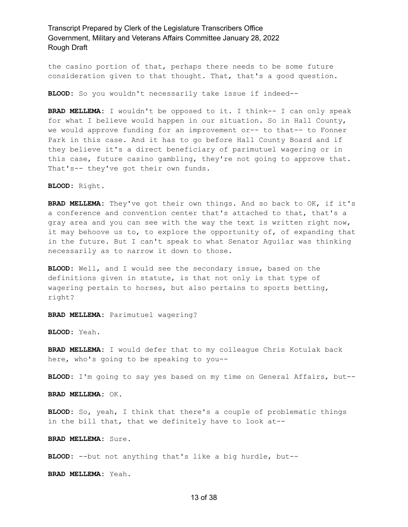the casino portion of that, perhaps there needs to be some future consideration given to that thought. That, that's a good question.

**BLOOD:** So you wouldn't necessarily take issue if indeed--

**BRAD MELLEMA:** I wouldn't be opposed to it. I think-- I can only speak for what I believe would happen in our situation. So in Hall County, we would approve funding for an improvement or-- to that-- to Fonner Park in this case. And it has to go before Hall County Board and if they believe it's a direct beneficiary of parimutuel wagering or in this case, future casino gambling, they're not going to approve that. That's-- they've got their own funds.

**BLOOD:** Right.

**BRAD MELLEMA:** They've got their own things. And so back to OK, if it's a conference and convention center that's attached to that, that's a gray area and you can see with the way the text is written right now, it may behoove us to, to explore the opportunity of, of expanding that in the future. But I can't speak to what Senator Aguilar was thinking necessarily as to narrow it down to those.

**BLOOD:** Well, and I would see the secondary issue, based on the definitions given in statute, is that not only is that type of wagering pertain to horses, but also pertains to sports betting, right?

**BRAD MELLEMA:** Parimutuel wagering?

**BLOOD:** Yeah.

**BRAD MELLEMA:** I would defer that to my colleague Chris Kotulak back here, who's going to be speaking to you--

**BLOOD:** I'm going to say yes based on my time on General Affairs, but--

**BRAD MELLEMA:** OK.

**BLOOD:** So, yeah, I think that there's a couple of problematic things in the bill that, that we definitely have to look at--

**BRAD MELLEMA:** Sure.

**BLOOD:** --but not anything that's like a big hurdle, but--

**BRAD MELLEMA:** Yeah.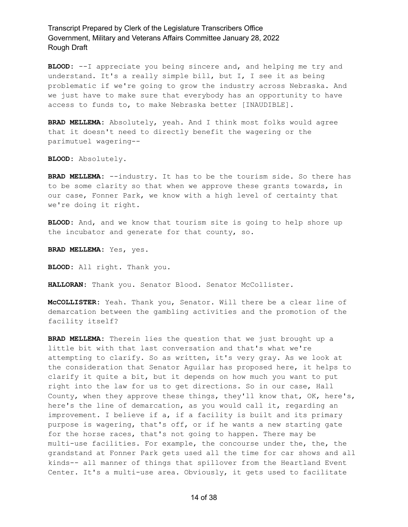**BLOOD:** --I appreciate you being sincere and, and helping me try and understand. It's a really simple bill, but I, I see it as being problematic if we're going to grow the industry across Nebraska. And we just have to make sure that everybody has an opportunity to have access to funds to, to make Nebraska better [INAUDIBLE].

**BRAD MELLEMA:** Absolutely, yeah. And I think most folks would agree that it doesn't need to directly benefit the wagering or the parimutuel wagering--

**BLOOD:** Absolutely.

**BRAD MELLEMA:** --industry. It has to be the tourism side. So there has to be some clarity so that when we approve these grants towards, in our case, Fonner Park, we know with a high level of certainty that we're doing it right.

**BLOOD:** And, and we know that tourism site is going to help shore up the incubator and generate for that county, so.

**BRAD MELLEMA:** Yes, yes.

**BLOOD:** All right. Thank you.

**HALLORAN:** Thank you. Senator Blood. Senator McCollister.

**McCOLLISTER:** Yeah. Thank you, Senator. Will there be a clear line of demarcation between the gambling activities and the promotion of the facility itself?

**BRAD MELLEMA:** Therein lies the question that we just brought up a little bit with that last conversation and that's what we're attempting to clarify. So as written, it's very gray. As we look at the consideration that Senator Aguilar has proposed here, it helps to clarify it quite a bit, but it depends on how much you want to put right into the law for us to get directions. So in our case, Hall County, when they approve these things, they'll know that, OK, here's, here's the line of demarcation, as you would call it, regarding an improvement. I believe if a, if a facility is built and its primary purpose is wagering, that's off, or if he wants a new starting gate for the horse races, that's not going to happen. There may be multi-use facilities. For example, the concourse under the, the, the grandstand at Fonner Park gets used all the time for car shows and all kinds-- all manner of things that spillover from the Heartland Event Center. It's a multi-use area. Obviously, it gets used to facilitate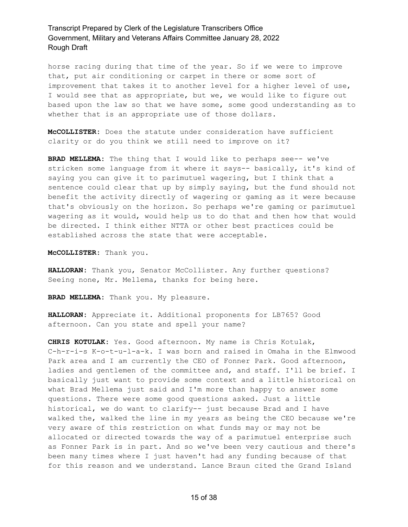horse racing during that time of the year. So if we were to improve that, put air conditioning or carpet in there or some sort of improvement that takes it to another level for a higher level of use, I would see that as appropriate, but we, we would like to figure out based upon the law so that we have some, some good understanding as to whether that is an appropriate use of those dollars.

**McCOLLISTER:** Does the statute under consideration have sufficient clarity or do you think we still need to improve on it?

**BRAD MELLEMA:** The thing that I would like to perhaps see-- we've stricken some language from it where it says-- basically, it's kind of saying you can give it to parimutuel wagering, but I think that a sentence could clear that up by simply saying, but the fund should not benefit the activity directly of wagering or gaming as it were because that's obviously on the horizon. So perhaps we're gaming or parimutuel wagering as it would, would help us to do that and then how that would be directed. I think either NTTA or other best practices could be established across the state that were acceptable.

**McCOLLISTER:** Thank you.

**HALLORAN:** Thank you, Senator McCollister. Any further questions? Seeing none, Mr. Mellema, thanks for being here.

**BRAD MELLEMA:** Thank you. My pleasure.

**HALLORAN:** Appreciate it. Additional proponents for LB765? Good afternoon. Can you state and spell your name?

**CHRIS KOTULAK:** Yes. Good afternoon. My name is Chris Kotulak, C-h-r-i-s K-o-t-u-l-a-k. I was born and raised in Omaha in the Elmwood Park area and I am currently the CEO of Fonner Park. Good afternoon, ladies and gentlemen of the committee and, and staff. I'll be brief. I basically just want to provide some context and a little historical on what Brad Mellema just said and I'm more than happy to answer some questions. There were some good questions asked. Just a little historical, we do want to clarify-- just because Brad and I have walked the, walked the line in my years as being the CEO because we're very aware of this restriction on what funds may or may not be allocated or directed towards the way of a parimutuel enterprise such as Fonner Park is in part. And so we've been very cautious and there's been many times where I just haven't had any funding because of that for this reason and we understand. Lance Braun cited the Grand Island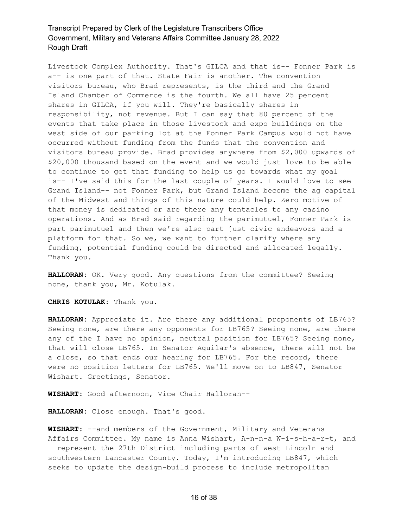Livestock Complex Authority. That's GILCA and that is-- Fonner Park is a-- is one part of that. State Fair is another. The convention visitors bureau, who Brad represents, is the third and the Grand Island Chamber of Commerce is the fourth. We all have 25 percent shares in GILCA, if you will. They're basically shares in responsibility, not revenue. But I can say that 80 percent of the events that take place in those livestock and expo buildings on the west side of our parking lot at the Fonner Park Campus would not have occurred without funding from the funds that the convention and visitors bureau provide. Brad provides anywhere from \$2,000 upwards of \$20,000 thousand based on the event and we would just love to be able to continue to get that funding to help us go towards what my goal is-- I've said this for the last couple of years. I would love to see Grand Island-- not Fonner Park, but Grand Island become the ag capital of the Midwest and things of this nature could help. Zero motive of that money is dedicated or are there any tentacles to any casino operations. And as Brad said regarding the parimutuel, Fonner Park is part parimutuel and then we're also part just civic endeavors and a platform for that. So we, we want to further clarify where any funding, potential funding could be directed and allocated legally. Thank you.

**HALLORAN:** OK. Very good. Any questions from the committee? Seeing none, thank you, Mr. Kotulak.

**CHRIS KOTULAK:** Thank you.

**HALLORAN:** Appreciate it. Are there any additional proponents of LB765? Seeing none, are there any opponents for LB765? Seeing none, are there any of the I have no opinion, neutral position for LB765? Seeing none, that will close LB765. In Senator Aguilar's absence, there will not be a close, so that ends our hearing for LB765. For the record, there were no position letters for LB765. We'll move on to LB847, Senator Wishart. Greetings, Senator.

**WISHART:** Good afternoon, Vice Chair Halloran--

**HALLORAN:** Close enough. That's good.

**WISHART:** --and members of the Government, Military and Veterans Affairs Committee. My name is Anna Wishart, A-n-n-a W-i-s-h-a-r-t, and I represent the 27th District including parts of west Lincoln and southwestern Lancaster County. Today, I'm introducing LB847, which seeks to update the design-build process to include metropolitan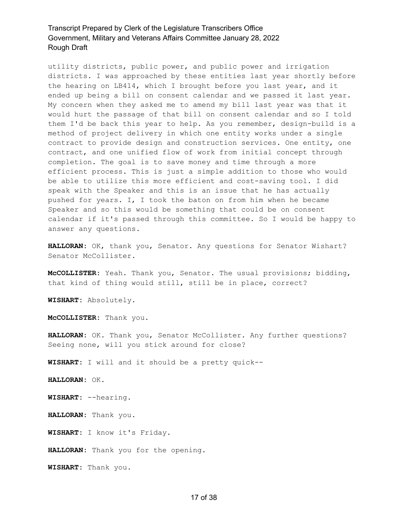utility districts, public power, and public power and irrigation districts. I was approached by these entities last year shortly before the hearing on LB414, which I brought before you last year, and it ended up being a bill on consent calendar and we passed it last year. My concern when they asked me to amend my bill last year was that it would hurt the passage of that bill on consent calendar and so I told them I'd be back this year to help. As you remember, design-build is a method of project delivery in which one entity works under a single contract to provide design and construction services. One entity, one contract, and one unified flow of work from initial concept through completion. The goal is to save money and time through a more efficient process. This is just a simple addition to those who would be able to utilize this more efficient and cost-saving tool. I did speak with the Speaker and this is an issue that he has actually pushed for years. I, I took the baton on from him when he became Speaker and so this would be something that could be on consent calendar if it's passed through this committee. So I would be happy to answer any questions.

**HALLORAN:** OK, thank you, Senator. Any questions for Senator Wishart? Senator McCollister.

**McCOLLISTER:** Yeah. Thank you, Senator. The usual provisions; bidding, that kind of thing would still, still be in place, correct?

**WISHART:** Absolutely.

**McCOLLISTER:** Thank you.

**HALLORAN:** OK. Thank you, Senator McCollister. Any further questions? Seeing none, will you stick around for close?

**WISHART:** I will and it should be a pretty quick--

**HALLORAN:** OK.

**WISHART:** --hearing.

**HALLORAN:** Thank you.

**WISHART:** I know it's Friday.

**HALLORAN:** Thank you for the opening.

**WISHART:** Thank you.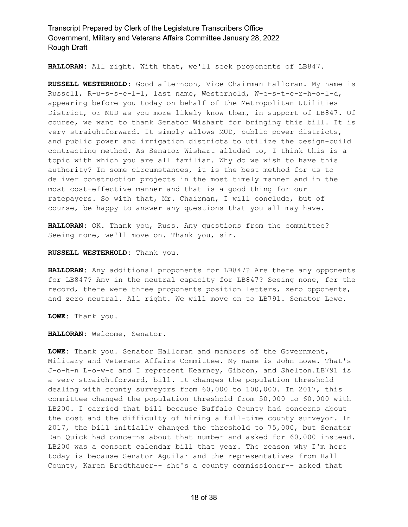**HALLORAN:** All right. With that, we'll seek proponents of LB847.

**RUSSELL WESTERHOLD:** Good afternoon, Vice Chairman Halloran. My name is Russell, R-u-s-s-e-l-l, last name, Westerhold, W-e-s-t-e-r-h-o-l-d, appearing before you today on behalf of the Metropolitan Utilities District, or MUD as you more likely know them, in support of LB847. Of course, we want to thank Senator Wishart for bringing this bill. It is very straightforward. It simply allows MUD, public power districts, and public power and irrigation districts to utilize the design-build contracting method. As Senator Wishart alluded to, I think this is a topic with which you are all familiar. Why do we wish to have this authority? In some circumstances, it is the best method for us to deliver construction projects in the most timely manner and in the most cost-effective manner and that is a good thing for our ratepayers. So with that, Mr. Chairman, I will conclude, but of course, be happy to answer any questions that you all may have.

**HALLORAN:** OK. Thank you, Russ. Any questions from the committee? Seeing none, we'll move on. Thank you, sir.

#### **RUSSELL WESTERHOLD:** Thank you.

**HALLORAN:** Any additional proponents for LB847? Are there any opponents for LB847? Any in the neutral capacity for LB847? Seeing none, for the record, there were three proponents position letters, zero opponents, and zero neutral. All right. We will move on to LB791. Senator Lowe.

**LOWE:** Thank you.

**HALLORAN:** Welcome, Senator.

**LOWE:** Thank you. Senator Halloran and members of the Government, Military and Veterans Affairs Committee. My name is John Lowe. That's J-o-h-n L-o-w-e and I represent Kearney, Gibbon, and Shelton.LB791 is a very straightforward, bill. It changes the population threshold dealing with county surveyors from 60,000 to 100,000. In 2017, this committee changed the population threshold from 50,000 to 60,000 with LB200. I carried that bill because Buffalo County had concerns about the cost and the difficulty of hiring a full-time county surveyor. In 2017, the bill initially changed the threshold to 75,000, but Senator Dan Quick had concerns about that number and asked for 60,000 instead. LB200 was a consent calendar bill that year. The reason why I'm here today is because Senator Aguilar and the representatives from Hall County, Karen Bredthauer-- she's a county commissioner-- asked that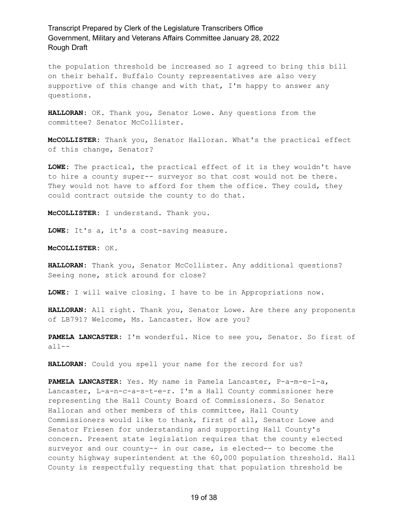the population threshold be increased so I agreed to bring this bill on their behalf. Buffalo County representatives are also very supportive of this change and with that, I'm happy to answer any questions.

**HALLORAN:** OK. Thank you, Senator Lowe. Any questions from the committee? Senator McCollister.

**McCOLLISTER:** Thank you, Senator Halloran. What's the practical effect of this change, Senator?

**LOWE:** The practical, the practical effect of it is they wouldn't have to hire a county super-- surveyor so that cost would not be there. They would not have to afford for them the office. They could, they could contract outside the county to do that.

**McCOLLISTER:** I understand. Thank you.

**LOWE:** It's a, it's a cost-saving measure.

**McCOLLISTER:** OK.

**HALLORAN:** Thank you, Senator McCollister. Any additional questions? Seeing none, stick around for close?

**LOWE:** I will waive closing. I have to be in Appropriations now.

**HALLORAN:** All right. Thank you, Senator Lowe. Are there any proponents of LB791? Welcome, Ms. Lancaster. How are you?

**PAMELA LANCASTER:** I'm wonderful. Nice to see you, Senator. So first of all--

**HALLORAN:** Could you spell your name for the record for us?

**PAMELA LANCASTER:** Yes. My name is Pamela Lancaster, P-a-m-e-l-a, Lancaster, L-a-n-c-a-s-t-e-r. I'm a Hall County commissioner here representing the Hall County Board of Commissioners. So Senator Halloran and other members of this committee, Hall County Commissioners would like to thank, first of all, Senator Lowe and Senator Friesen for understanding and supporting Hall County's concern. Present state legislation requires that the county elected surveyor and our county-- in our case, is elected-- to become the county highway superintendent at the 60,000 population threshold. Hall County is respectfully requesting that that population threshold be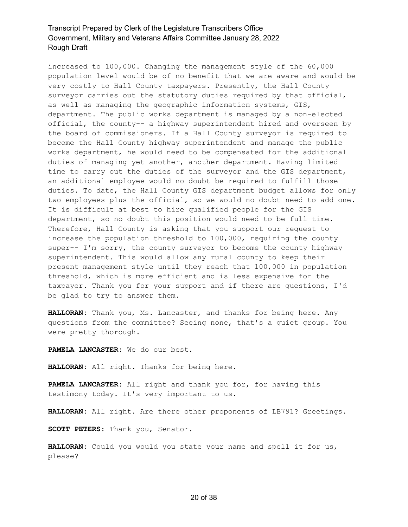increased to 100,000. Changing the management style of the 60,000 population level would be of no benefit that we are aware and would be very costly to Hall County taxpayers. Presently, the Hall County surveyor carries out the statutory duties required by that official, as well as managing the geographic information systems, GIS, department. The public works department is managed by a non-elected official, the county-- a highway superintendent hired and overseen by the board of commissioners. If a Hall County surveyor is required to become the Hall County highway superintendent and manage the public works department, he would need to be compensated for the additional duties of managing yet another, another department. Having limited time to carry out the duties of the surveyor and the GIS department, an additional employee would no doubt be required to fulfill those duties. To date, the Hall County GIS department budget allows for only two employees plus the official, so we would no doubt need to add one. It is difficult at best to hire qualified people for the GIS department, so no doubt this position would need to be full time. Therefore, Hall County is asking that you support our request to increase the population threshold to 100,000, requiring the county super-- I'm sorry, the county surveyor to become the county highway superintendent. This would allow any rural county to keep their present management style until they reach that 100,000 in population threshold, which is more efficient and is less expensive for the taxpayer. Thank you for your support and if there are questions, I'd be glad to try to answer them.

**HALLORAN:** Thank you, Ms. Lancaster, and thanks for being here. Any questions from the committee? Seeing none, that's a quiet group. You were pretty thorough.

**PAMELA LANCASTER:** We do our best.

**HALLORAN:** All right. Thanks for being here.

**PAMELA LANCASTER:** All right and thank you for, for having this testimony today. It's very important to us.

**HALLORAN:** All right. Are there other proponents of LB791? Greetings.

**SCOTT PETERS:** Thank you, Senator.

**HALLORAN:** Could you would you state your name and spell it for us, please?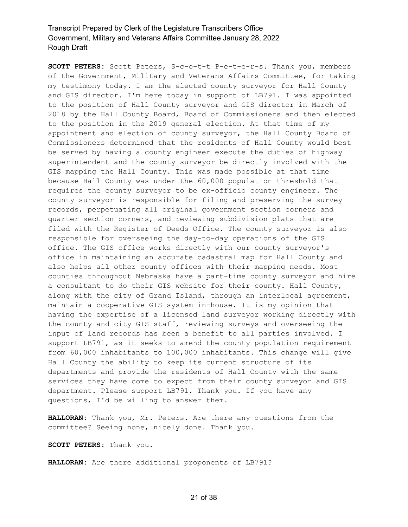**SCOTT PETERS:** Scott Peters, S-c-o-t-t P-e-t-e-r-s. Thank you, members of the Government, Military and Veterans Affairs Committee, for taking my testimony today. I am the elected county surveyor for Hall County and GIS director. I'm here today in support of LB791. I was appointed to the position of Hall County surveyor and GIS director in March of 2018 by the Hall County Board, Board of Commissioners and then elected to the position in the 2019 general election. At that time of my appointment and election of county surveyor, the Hall County Board of Commissioners determined that the residents of Hall County would best be served by having a county engineer execute the duties of highway superintendent and the county surveyor be directly involved with the GIS mapping the Hall County. This was made possible at that time because Hall County was under the 60,000 population threshold that requires the county surveyor to be ex-officio county engineer. The county surveyor is responsible for filing and preserving the survey records, perpetuating all original government section corners and quarter section corners, and reviewing subdivision plats that are filed with the Register of Deeds Office. The county surveyor is also responsible for overseeing the day-to-day operations of the GIS office. The GIS office works directly with our county surveyor's office in maintaining an accurate cadastral map for Hall County and also helps all other county offices with their mapping needs. Most counties throughout Nebraska have a part-time county surveyor and hire a consultant to do their GIS website for their county. Hall County, along with the city of Grand Island, through an interlocal agreement, maintain a cooperative GIS system in-house. It is my opinion that having the expertise of a licensed land surveyor working directly with the county and city GIS staff, reviewing surveys and overseeing the input of land records has been a benefit to all parties involved. I support LB791, as it seeks to amend the county population requirement from 60,000 inhabitants to 100,000 inhabitants. This change will give Hall County the ability to keep its current structure of its departments and provide the residents of Hall County with the same services they have come to expect from their county surveyor and GIS department. Please support LB791. Thank you. If you have any questions, I'd be willing to answer them.

**HALLORAN:** Thank you, Mr. Peters. Are there any questions from the committee? Seeing none, nicely done. Thank you.

**SCOTT PETERS:** Thank you.

**HALLORAN:** Are there additional proponents of LB791?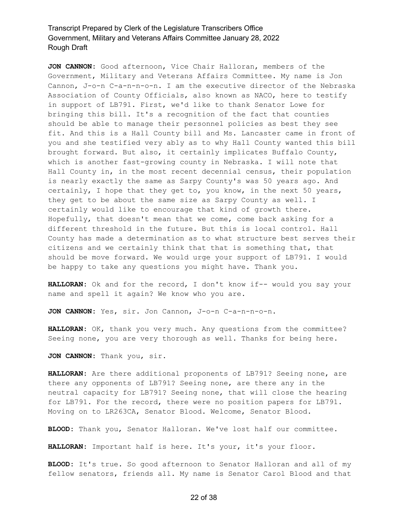**JON CANNON:** Good afternoon, Vice Chair Halloran, members of the Government, Military and Veterans Affairs Committee. My name is Jon Cannon, J-o-n C-a-n-n-o-n. I am the executive director of the Nebraska Association of County Officials, also known as NACO, here to testify in support of LB791. First, we'd like to thank Senator Lowe for bringing this bill. It's a recognition of the fact that counties should be able to manage their personnel policies as best they see fit. And this is a Hall County bill and Ms. Lancaster came in front of you and she testified very ably as to why Hall County wanted this bill brought forward. But also, it certainly implicates Buffalo County, which is another fast-growing county in Nebraska. I will note that Hall County in, in the most recent decennial census, their population is nearly exactly the same as Sarpy County's was 50 years ago. And certainly, I hope that they get to, you know, in the next 50 years, they get to be about the same size as Sarpy County as well. I certainly would like to encourage that kind of growth there. Hopefully, that doesn't mean that we come, come back asking for a different threshold in the future. But this is local control. Hall County has made a determination as to what structure best serves their citizens and we certainly think that that is something that, that should be move forward. We would urge your support of LB791. I would be happy to take any questions you might have. Thank you.

**HALLORAN:** Ok and for the record, I don't know if-- would you say your name and spell it again? We know who you are.

**JON CANNON:** Yes, sir. Jon Cannon, J-o-n C-a-n-n-o-n.

**HALLORAN:** OK, thank you very much. Any questions from the committee? Seeing none, you are very thorough as well. Thanks for being here.

**JON CANNON:** Thank you, sir.

**HALLORAN:** Are there additional proponents of LB791? Seeing none, are there any opponents of LB791? Seeing none, are there any in the neutral capacity for LB791? Seeing none, that will close the hearing for LB791. For the record, there were no position papers for LB791. Moving on to LR263CA, Senator Blood. Welcome, Senator Blood.

**BLOOD:** Thank you, Senator Halloran. We've lost half our committee.

HALLORAN: Important half is here. It's your, it's your floor.

**BLOOD:** It's true. So good afternoon to Senator Halloran and all of my fellow senators, friends all. My name is Senator Carol Blood and that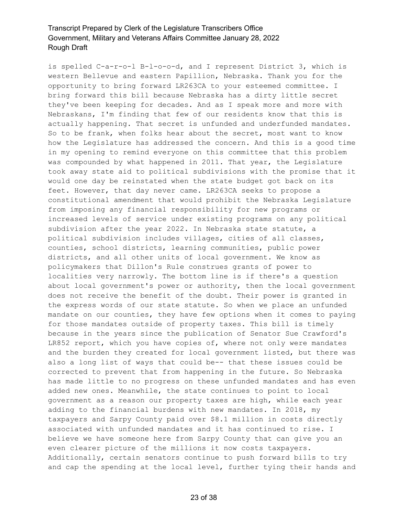is spelled C-a-r-o-l B-l-o-o-d, and I represent District 3, which is western Bellevue and eastern Papillion, Nebraska. Thank you for the opportunity to bring forward LR263CA to your esteemed committee. I bring forward this bill because Nebraska has a dirty little secret they've been keeping for decades. And as I speak more and more with Nebraskans, I'm finding that few of our residents know that this is actually happening. That secret is unfunded and underfunded mandates. So to be frank, when folks hear about the secret, most want to know how the Legislature has addressed the concern. And this is a good time in my opening to remind everyone on this committee that this problem was compounded by what happened in 2011. That year, the Legislature took away state aid to political subdivisions with the promise that it would one day be reinstated when the state budget got back on its feet. However, that day never came. LR263CA seeks to propose a constitutional amendment that would prohibit the Nebraska Legislature from imposing any financial responsibility for new programs or increased levels of service under existing programs on any political subdivision after the year 2022. In Nebraska state statute, a political subdivision includes villages, cities of all classes, counties, school districts, learning communities, public power districts, and all other units of local government. We know as policymakers that Dillon's Rule construes grants of power to localities very narrowly. The bottom line is if there's a question about local government's power or authority, then the local government does not receive the benefit of the doubt. Their power is granted in the express words of our state statute. So when we place an unfunded mandate on our counties, they have few options when it comes to paying for those mandates outside of property taxes. This bill is timely because in the years since the publication of Senator Sue Crawford's LR852 report, which you have copies of, where not only were mandates and the burden they created for local government listed, but there was also a long list of ways that could be-- that these issues could be corrected to prevent that from happening in the future. So Nebraska has made little to no progress on these unfunded mandates and has even added new ones. Meanwhile, the state continues to point to local government as a reason our property taxes are high, while each year adding to the financial burdens with new mandates. In 2018, my taxpayers and Sarpy County paid over \$8.1 million in costs directly associated with unfunded mandates and it has continued to rise. I believe we have someone here from Sarpy County that can give you an even clearer picture of the millions it now costs taxpayers. Additionally, certain senators continue to push forward bills to try and cap the spending at the local level, further tying their hands and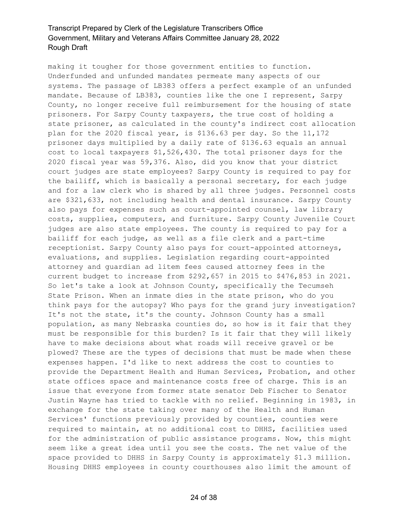making it tougher for those government entities to function. Underfunded and unfunded mandates permeate many aspects of our systems. The passage of LB383 offers a perfect example of an unfunded mandate. Because of LB383, counties like the one I represent, Sarpy County, no longer receive full reimbursement for the housing of state prisoners. For Sarpy County taxpayers, the true cost of holding a state prisoner, as calculated in the county's indirect cost allocation plan for the 2020 fiscal year, is \$136.63 per day. So the 11,172 prisoner days multiplied by a daily rate of \$136.63 equals an annual cost to local taxpayers \$1,526,430. The total prisoner days for the 2020 fiscal year was 59,376. Also, did you know that your district court judges are state employees? Sarpy County is required to pay for the bailiff, which is basically a personal secretary, for each judge and for a law clerk who is shared by all three judges. Personnel costs are \$321,633, not including health and dental insurance. Sarpy County also pays for expenses such as court-appointed counsel, law library costs, supplies, computers, and furniture. Sarpy County Juvenile Court judges are also state employees. The county is required to pay for a bailiff for each judge, as well as a file clerk and a part-time receptionist. Sarpy County also pays for court-appointed attorneys, evaluations, and supplies. Legislation regarding court-appointed attorney and guardian ad litem fees caused attorney fees in the current budget to increase from \$292,657 in 2015 to \$476,853 in 2021. So let's take a look at Johnson County, specifically the Tecumseh State Prison. When an inmate dies in the state prison, who do you think pays for the autopsy? Who pays for the grand jury investigation? It's not the state, it's the county. Johnson County has a small population, as many Nebraska counties do, so how is it fair that they must be responsible for this burden? Is it fair that they will likely have to make decisions about what roads will receive gravel or be plowed? These are the types of decisions that must be made when these expenses happen. I'd like to next address the cost to counties to provide the Department Health and Human Services, Probation, and other state offices space and maintenance costs free of charge. This is an issue that everyone from former state senator Deb Fischer to Senator Justin Wayne has tried to tackle with no relief. Beginning in 1983, in exchange for the state taking over many of the Health and Human Services' functions previously provided by counties, counties were required to maintain, at no additional cost to DHHS, facilities used for the administration of public assistance programs. Now, this might seem like a great idea until you see the costs. The net value of the space provided to DHHS in Sarpy County is approximately \$1.3 million. Housing DHHS employees in county courthouses also limit the amount of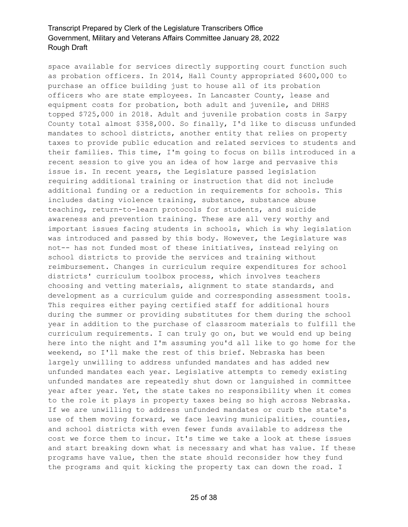space available for services directly supporting court function such as probation officers. In 2014, Hall County appropriated \$600,000 to purchase an office building just to house all of its probation officers who are state employees. In Lancaster County, lease and equipment costs for probation, both adult and juvenile, and DHHS topped \$725,000 in 2018. Adult and juvenile probation costs in Sarpy County total almost \$358,000. So finally, I'd like to discuss unfunded mandates to school districts, another entity that relies on property taxes to provide public education and related services to students and their families. This time, I'm going to focus on bills introduced in a recent session to give you an idea of how large and pervasive this issue is. In recent years, the Legislature passed legislation requiring additional training or instruction that did not include additional funding or a reduction in requirements for schools. This includes dating violence training, substance, substance abuse teaching, return-to-learn protocols for students, and suicide awareness and prevention training. These are all very worthy and important issues facing students in schools, which is why legislation was introduced and passed by this body. However, the Legislature was not-- has not funded most of these initiatives, instead relying on school districts to provide the services and training without reimbursement. Changes in curriculum require expenditures for school districts' curriculum toolbox process, which involves teachers choosing and vetting materials, alignment to state standards, and development as a curriculum guide and corresponding assessment tools. This requires either paying certified staff for additional hours during the summer or providing substitutes for them during the school year in addition to the purchase of classroom materials to fulfill the curriculum requirements. I can truly go on, but we would end up being here into the night and I'm assuming you'd all like to go home for the weekend, so I'll make the rest of this brief. Nebraska has been largely unwilling to address unfunded mandates and has added new unfunded mandates each year. Legislative attempts to remedy existing unfunded mandates are repeatedly shut down or languished in committee year after year. Yet, the state takes no responsibility when it comes to the role it plays in property taxes being so high across Nebraska. If we are unwilling to address unfunded mandates or curb the state's use of them moving forward, we face leaving municipalities, counties, and school districts with even fewer funds available to address the cost we force them to incur. It's time we take a look at these issues and start breaking down what is necessary and what has value. If these programs have value, then the state should reconsider how they fund the programs and quit kicking the property tax can down the road. I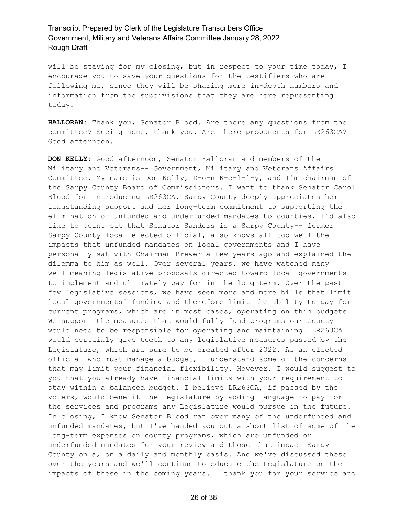will be staying for my closing, but in respect to your time today, I encourage you to save your questions for the testifiers who are following me, since they will be sharing more in-depth numbers and information from the subdivisions that they are here representing today.

**HALLORAN:** Thank you, Senator Blood. Are there any questions from the committee? Seeing none, thank you. Are there proponents for LR263CA? Good afternoon.

**DON KELLY:** Good afternoon, Senator Halloran and members of the Military and Veterans-- Government, Military and Veterans Affairs Committee. My name is Don Kelly, D-o-n K-e-l-l-y, and I'm chairman of the Sarpy County Board of Commissioners. I want to thank Senator Carol Blood for introducing LR263CA. Sarpy County deeply appreciates her longstanding support and her long-term commitment to supporting the elimination of unfunded and underfunded mandates to counties. I'd also like to point out that Senator Sanders is a Sarpy County-- former Sarpy County local elected official, also knows all too well the impacts that unfunded mandates on local governments and I have personally sat with Chairman Brewer a few years ago and explained the dilemma to him as well. Over several years, we have watched many well-meaning legislative proposals directed toward local governments to implement and ultimately pay for in the long term. Over the past few legislative sessions, we have seen more and more bills that limit local governments' funding and therefore limit the ability to pay for current programs, which are in most cases, operating on thin budgets. We support the measures that would fully fund programs our county would need to be responsible for operating and maintaining. LR263CA would certainly give teeth to any legislative measures passed by the Legislature, which are sure to be created after 2022. As an elected official who must manage a budget, I understand some of the concerns that may limit your financial flexibility. However, I would suggest to you that you already have financial limits with your requirement to stay within a balanced budget. I believe LR263CA, if passed by the voters, would benefit the Legislature by adding language to pay for the services and programs any Legislature would pursue in the future. In closing, I know Senator Blood ran over many of the underfunded and unfunded mandates, but I've handed you out a short list of some of the long-term expenses on county programs, which are unfunded or underfunded mandates for your review and those that impact Sarpy County on a, on a daily and monthly basis. And we've discussed these over the years and we'll continue to educate the Legislature on the impacts of these in the coming years. I thank you for your service and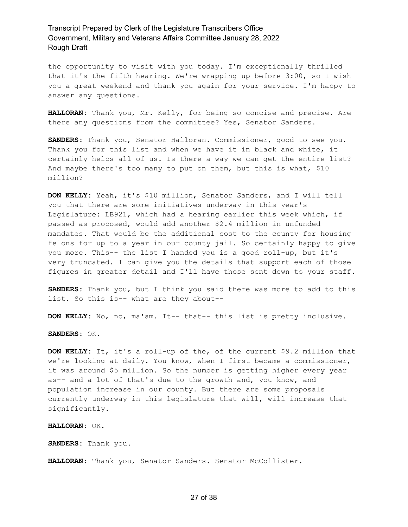the opportunity to visit with you today. I'm exceptionally thrilled that it's the fifth hearing. We're wrapping up before 3:00, so I wish you a great weekend and thank you again for your service. I'm happy to answer any questions.

**HALLORAN:** Thank you, Mr. Kelly, for being so concise and precise. Are there any questions from the committee? Yes, Senator Sanders.

**SANDERS:** Thank you, Senator Halloran. Commissioner, good to see you. Thank you for this list and when we have it in black and white, it certainly helps all of us. Is there a way we can get the entire list? And maybe there's too many to put on them, but this is what, \$10 million?

**DON KELLY:** Yeah, it's \$10 million, Senator Sanders, and I will tell you that there are some initiatives underway in this year's Legislature: LB921, which had a hearing earlier this week which, if passed as proposed, would add another \$2.4 million in unfunded mandates. That would be the additional cost to the county for housing felons for up to a year in our county jail. So certainly happy to give you more. This-- the list I handed you is a good roll-up, but it's very truncated. I can give you the details that support each of those figures in greater detail and I'll have those sent down to your staff.

**SANDERS:** Thank you, but I think you said there was more to add to this list. So this is-- what are they about--

**DON KELLY:** No, no, ma'am. It-- that-- this list is pretty inclusive.

**SANDERS:** OK.

**DON KELLY:** It, it's a roll-up of the, of the current \$9.2 million that we're looking at daily. You know, when I first became a commissioner, it was around \$5 million. So the number is getting higher every year as-- and a lot of that's due to the growth and, you know, and population increase in our county. But there are some proposals currently underway in this legislature that will, will increase that significantly.

**HALLORAN:** OK.

**SANDERS:** Thank you.

HALLORAN: Thank you, Senator Sanders. Senator McCollister.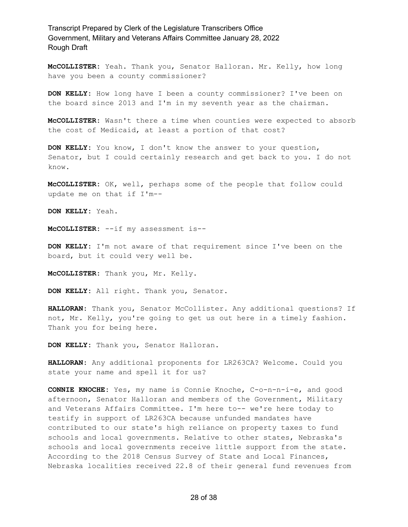**McCOLLISTER:** Yeah. Thank you, Senator Halloran. Mr. Kelly, how long have you been a county commissioner?

**DON KELLY:** How long have I been a county commissioner? I've been on the board since 2013 and I'm in my seventh year as the chairman.

**McCOLLISTER:** Wasn't there a time when counties were expected to absorb the cost of Medicaid, at least a portion of that cost?

**DON KELLY:** You know, I don't know the answer to your question, Senator, but I could certainly research and get back to you. I do not know.

**McCOLLISTER:** OK, well, perhaps some of the people that follow could update me on that if I'm--

**DON KELLY:** Yeah.

**McCOLLISTER:** --if my assessment is--

**DON KELLY:** I'm not aware of that requirement since I've been on the board, but it could very well be.

**McCOLLISTER:** Thank you, Mr. Kelly.

**DON KELLY:** All right. Thank you, Senator.

**HALLORAN:** Thank you, Senator McCollister. Any additional questions? If not, Mr. Kelly, you're going to get us out here in a timely fashion. Thank you for being here.

**DON KELLY:** Thank you, Senator Halloran.

**HALLORAN:** Any additional proponents for LR263CA? Welcome. Could you state your name and spell it for us?

**CONNIE KNOCHE:** Yes, my name is Connie Knoche, C-o-n-n-i-e, and good afternoon, Senator Halloran and members of the Government, Military and Veterans Affairs Committee. I'm here to-- we're here today to testify in support of LR263CA because unfunded mandates have contributed to our state's high reliance on property taxes to fund schools and local governments. Relative to other states, Nebraska's schools and local governments receive little support from the state. According to the 2018 Census Survey of State and Local Finances, Nebraska localities received 22.8 of their general fund revenues from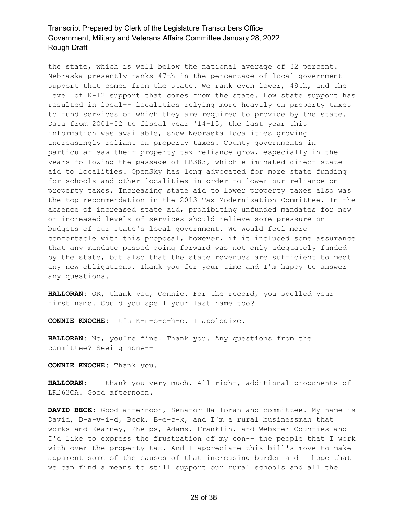the state, which is well below the national average of 32 percent. Nebraska presently ranks 47th in the percentage of local government support that comes from the state. We rank even lower, 49th, and the level of K-12 support that comes from the state. Low state support has resulted in local-- localities relying more heavily on property taxes to fund services of which they are required to provide by the state. Data from 2001-02 to fiscal year '14-15, the last year this information was available, show Nebraska localities growing increasingly reliant on property taxes. County governments in particular saw their property tax reliance grow, especially in the years following the passage of LB383, which eliminated direct state aid to localities. OpenSky has long advocated for more state funding for schools and other localities in order to lower our reliance on property taxes. Increasing state aid to lower property taxes also was the top recommendation in the 2013 Tax Modernization Committee. In the absence of increased state aid, prohibiting unfunded mandates for new or increased levels of services should relieve some pressure on budgets of our state's local government. We would feel more comfortable with this proposal, however, if it included some assurance that any mandate passed going forward was not only adequately funded by the state, but also that the state revenues are sufficient to meet any new obligations. Thank you for your time and I'm happy to answer any questions.

**HALLORAN:** OK, thank you, Connie. For the record, you spelled your first name. Could you spell your last name too?

**CONNIE KNOCHE:** It's K-n-o-c-h-e. I apologize.

**HALLORAN:** No, you're fine. Thank you. Any questions from the committee? Seeing none--

**CONNIE KNOCHE:** Thank you.

**HALLORAN:** -- thank you very much. All right, additional proponents of LR263CA. Good afternoon.

**DAVID BECK:** Good afternoon, Senator Halloran and committee. My name is David, D-a-v-i-d, Beck, B-e-c-k, and I'm a rural businessman that works and Kearney, Phelps, Adams, Franklin, and Webster Counties and I'd like to express the frustration of my con-- the people that I work with over the property tax. And I appreciate this bill's move to make apparent some of the causes of that increasing burden and I hope that we can find a means to still support our rural schools and all the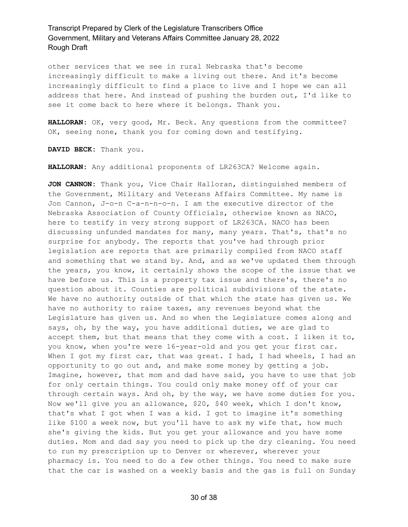other services that we see in rural Nebraska that's become increasingly difficult to make a living out there. And it's become increasingly difficult to find a place to live and I hope we can all address that here. And instead of pushing the burden out, I'd like to see it come back to here where it belongs. Thank you.

**HALLORAN:** OK, very good, Mr. Beck. Any questions from the committee? OK, seeing none, thank you for coming down and testifying.

**DAVID BECK:** Thank you.

**HALLORAN:** Any additional proponents of LR263CA? Welcome again.

**JON CANNON:** Thank you, Vice Chair Halloran, distinguished members of the Government, Military and Veterans Affairs Committee. My name is Jon Cannon, J-o-n C-a-n-n-o-n. I am the executive director of the Nebraska Association of County Officials, otherwise known as NACO, here to testify in very strong support of LR263CA. NACO has been discussing unfunded mandates for many, many years. That's, that's no surprise for anybody. The reports that you've had through prior legislation are reports that are primarily compiled from NACO staff and something that we stand by. And, and as we've updated them through the years, you know, it certainly shows the scope of the issue that we have before us. This is a property tax issue and there's, there's no question about it. Counties are political subdivisions of the state. We have no authority outside of that which the state has given us. We have no authority to raise taxes, any revenues beyond what the Legislature has given us. And so when the Legislature comes along and says, oh, by the way, you have additional duties, we are glad to accept them, but that means that they come with a cost. I liken it to, you know, when you're were 16-year-old and you get your first car. When I got my first car, that was great. I had, I had wheels, I had an opportunity to go out and, and make some money by getting a job. Imagine, however, that mom and dad have said, you have to use that job for only certain things. You could only make money off of your car through certain ways. And oh, by the way, we have some duties for you. Now we'll give you an allowance, \$20, \$40 week, which I don't know, that's what I got when I was a kid. I got to imagine it's something like \$100 a week now, but you'll have to ask my wife that, how much she's giving the kids. But you get your allowance and you have some duties. Mom and dad say you need to pick up the dry cleaning. You need to run my prescription up to Denver or wherever, wherever your pharmacy is. You need to do a few other things. You need to make sure that the car is washed on a weekly basis and the gas is full on Sunday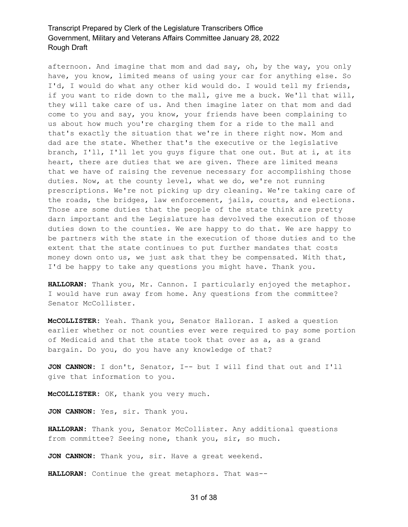afternoon. And imagine that mom and dad say, oh, by the way, you only have, you know, limited means of using your car for anything else. So I'd, I would do what any other kid would do. I would tell my friends, if you want to ride down to the mall, give me a buck. We'll that will, they will take care of us. And then imagine later on that mom and dad come to you and say, you know, your friends have been complaining to us about how much you're charging them for a ride to the mall and that's exactly the situation that we're in there right now. Mom and dad are the state. Whether that's the executive or the legislative branch, I'll, I'll let you guys figure that one out. But at i, at its heart, there are duties that we are given. There are limited means that we have of raising the revenue necessary for accomplishing those duties. Now, at the county level, what we do, we're not running prescriptions. We're not picking up dry cleaning. We're taking care of the roads, the bridges, law enforcement, jails, courts, and elections. Those are some duties that the people of the state think are pretty darn important and the Legislature has devolved the execution of those duties down to the counties. We are happy to do that. We are happy to be partners with the state in the execution of those duties and to the extent that the state continues to put further mandates that costs money down onto us, we just ask that they be compensated. With that, I'd be happy to take any questions you might have. Thank you.

**HALLORAN:** Thank you, Mr. Cannon. I particularly enjoyed the metaphor. I would have run away from home. Any questions from the committee? Senator McCollister.

**McCOLLISTER:** Yeah. Thank you, Senator Halloran. I asked a question earlier whether or not counties ever were required to pay some portion of Medicaid and that the state took that over as a, as a grand bargain. Do you, do you have any knowledge of that?

**JON CANNON:** I don't, Senator, I-- but I will find that out and I'll give that information to you.

**McCOLLISTER:** OK, thank you very much.

**JON CANNON:** Yes, sir. Thank you.

**HALLORAN:** Thank you, Senator McCollister. Any additional questions from committee? Seeing none, thank you, sir, so much.

**JON CANNON:** Thank you, sir. Have a great weekend.

**HALLORAN:** Continue the great metaphors. That was--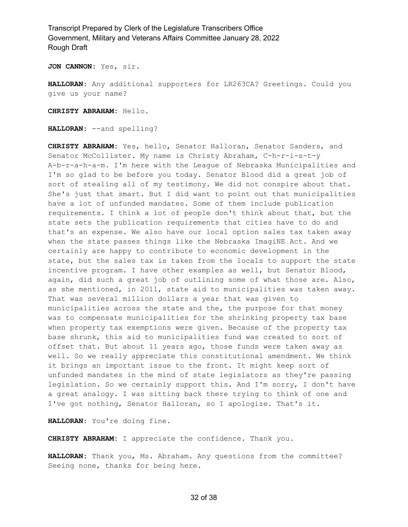**JON CANNON:** Yes, sir.

**HALLORAN:** Any additional supporters for LR263CA? Greetings. Could you give us your name?

**CHRISTY ABRAHAM:** Hello.

**HALLORAN:** --and spelling?

**CHRISTY ABRAHAM:** Yes, hello, Senator Halloran, Senator Sanders, and Senator McCollister. My name is Christy Abraham, C-h-r-i-s-t-y A-b-r-a-h-a-m. I'm here with the League of Nebraska Municipalities and I'm so glad to be before you today. Senator Blood did a great job of sort of stealing all of my testimony. We did not conspire about that. She's just that smart. But I did want to point out that municipalities have a lot of unfunded mandates. Some of them include publication requirements. I think a lot of people don't think about that, but the state sets the publication requirements that cities have to do and that's an expense. We also have our local option sales tax taken away when the state passes things like the Nebraska ImagiNE Act. And we certainly are happy to contribute to economic development in the state, but the sales tax is taken from the locals to support the state incentive program. I have other examples as well, but Senator Blood, again, did such a great job of outlining some of what those are. Also, as she mentioned, in 2011, state aid to municipalities was taken away. That was several million dollars a year that was given to municipalities across the state and the, the purpose for that money was to compensate municipalities for the shrinking property tax base when property tax exemptions were given. Because of the property tax base shrunk, this aid to municipalities fund was created to sort of offset that. But about 11 years ago, those funds were taken away as well. So we really appreciate this constitutional amendment. We think it brings an important issue to the front. It might keep sort of unfunded mandates in the mind of state legislators as they're passing legislation. So we certainly support this. And I'm sorry, I don't have a great analogy. I was sitting back there trying to think of one and I've got nothing, Senator Halloran, so I apologize. That's it.

**HALLORAN:** You're doing fine.

**CHRISTY ABRAHAM:** I appreciate the confidence. Thank you.

**HALLORAN:** Thank you, Ms. Abraham. Any questions from the committee? Seeing none, thanks for being here.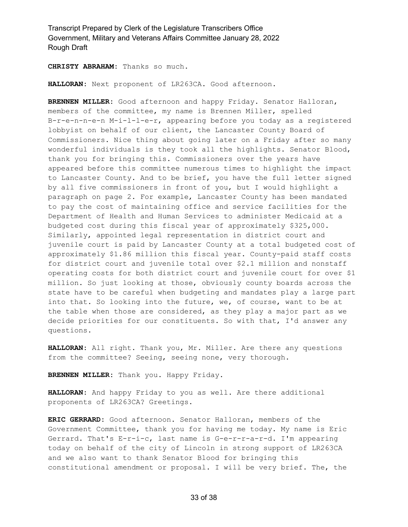**CHRISTY ABRAHAM:** Thanks so much.

**HALLORAN:** Next proponent of LR263CA. Good afternoon.

**BRENNEN MILLER:** Good afternoon and happy Friday. Senator Halloran, members of the committee, my name is Brennen Miller, spelled B-r-e-n-n-e-n M-i-l-l-e-r, appearing before you today as a registered lobbyist on behalf of our client, the Lancaster County Board of Commissioners. Nice thing about going later on a Friday after so many wonderful individuals is they took all the highlights. Senator Blood, thank you for bringing this. Commissioners over the years have appeared before this committee numerous times to highlight the impact to Lancaster County. And to be brief, you have the full letter signed by all five commissioners in front of you, but I would highlight a paragraph on page 2. For example, Lancaster County has been mandated to pay the cost of maintaining office and service facilities for the Department of Health and Human Services to administer Medicaid at a budgeted cost during this fiscal year of approximately \$325,000. Similarly, appointed legal representation in district court and juvenile court is paid by Lancaster County at a total budgeted cost of approximately \$1.86 million this fiscal year. County-paid staff costs for district court and juvenile total over \$2.1 million and nonstaff operating costs for both district court and juvenile court for over \$1 million. So just looking at those, obviously county boards across the state have to be careful when budgeting and mandates play a large part into that. So looking into the future, we, of course, want to be at the table when those are considered, as they play a major part as we decide priorities for our constituents. So with that, I'd answer any questions.

**HALLORAN:** All right. Thank you, Mr. Miller. Are there any questions from the committee? Seeing, seeing none, very thorough.

**BRENNEN MILLER:** Thank you. Happy Friday.

**HALLORAN:** And happy Friday to you as well. Are there additional proponents of LR263CA? Greetings.

**ERIC GERRARD:** Good afternoon. Senator Halloran, members of the Government Committee, thank you for having me today. My name is Eric Gerrard. That's E-r-i-c, last name is G-e-r-r-a-r-d. I'm appearing today on behalf of the city of Lincoln in strong support of LR263CA and we also want to thank Senator Blood for bringing this constitutional amendment or proposal. I will be very brief. The, the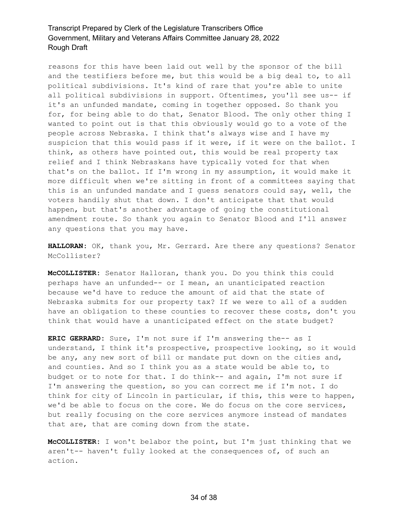reasons for this have been laid out well by the sponsor of the bill and the testifiers before me, but this would be a big deal to, to all political subdivisions. It's kind of rare that you're able to unite all political subdivisions in support. Oftentimes, you'll see us-- if it's an unfunded mandate, coming in together opposed. So thank you for, for being able to do that, Senator Blood. The only other thing I wanted to point out is that this obviously would go to a vote of the people across Nebraska. I think that's always wise and I have my suspicion that this would pass if it were, if it were on the ballot. I think, as others have pointed out, this would be real property tax relief and I think Nebraskans have typically voted for that when that's on the ballot. If I'm wrong in my assumption, it would make it more difficult when we're sitting in front of a committees saying that this is an unfunded mandate and I guess senators could say, well, the voters handily shut that down. I don't anticipate that that would happen, but that's another advantage of going the constitutional amendment route. So thank you again to Senator Blood and I'll answer any questions that you may have.

**HALLORAN:** OK, thank you, Mr. Gerrard. Are there any questions? Senator McCollister?

**McCOLLISTER:** Senator Halloran, thank you. Do you think this could perhaps have an unfunded-- or I mean, an unanticipated reaction because we'd have to reduce the amount of aid that the state of Nebraska submits for our property tax? If we were to all of a sudden have an obligation to these counties to recover these costs, don't you think that would have a unanticipated effect on the state budget?

**ERIC GERRARD:** Sure, I'm not sure if I'm answering the-- as I understand, I think it's prospective, prospective looking, so it would be any, any new sort of bill or mandate put down on the cities and, and counties. And so I think you as a state would be able to, to budget or to note for that. I do think-- and again, I'm not sure if I'm answering the question, so you can correct me if I'm not. I do think for city of Lincoln in particular, if this, this were to happen, we'd be able to focus on the core. We do focus on the core services, but really focusing on the core services anymore instead of mandates that are, that are coming down from the state.

**McCOLLISTER:** I won't belabor the point, but I'm just thinking that we aren't-- haven't fully looked at the consequences of, of such an action.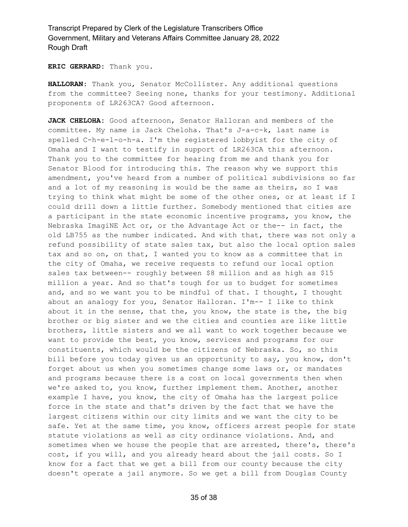**ERIC GERRARD:** Thank you.

**HALLORAN:** Thank you, Senator McCollister. Any additional questions from the committee? Seeing none, thanks for your testimony. Additional proponents of LR263CA? Good afternoon.

**JACK CHELOHA:** Good afternoon, Senator Halloran and members of the committee. My name is Jack Cheloha. That's J-a-c-k, last name is spelled C-h-e-l-o-h-a. I'm the registered lobbyist for the city of Omaha and I want to testify in support of LR263CA this afternoon. Thank you to the committee for hearing from me and thank you for Senator Blood for introducing this. The reason why we support this amendment, you've heard from a number of political subdivisions so far and a lot of my reasoning is would be the same as theirs, so I was trying to think what might be some of the other ones, or at least if I could drill down a little further. Somebody mentioned that cities are a participant in the state economic incentive programs, you know, the Nebraska ImagiNE Act or, or the Advantage Act or the-- in fact, the old LB755 as the number indicated. And with that, there was not only a refund possibility of state sales tax, but also the local option sales tax and so on, on that, I wanted you to know as a committee that in the city of Omaha, we receive requests to refund our local option sales tax between-- roughly between \$8 million and as high as \$15 million a year. And so that's tough for us to budget for sometimes and, and so we want you to be mindful of that. I thought, I thought about an analogy for you, Senator Halloran. I'm-- I like to think about it in the sense, that the, you know, the state is the, the big brother or big sister and we the cities and counties are like little brothers, little sisters and we all want to work together because we want to provide the best, you know, services and programs for our constituents, which would be the citizens of Nebraska. So, so this bill before you today gives us an opportunity to say, you know, don't forget about us when you sometimes change some laws or, or mandates and programs because there is a cost on local governments then when we're asked to, you know, further implement them. Another, another example I have, you know, the city of Omaha has the largest police force in the state and that's driven by the fact that we have the largest citizens within our city limits and we want the city to be safe. Yet at the same time, you know, officers arrest people for state statute violations as well as city ordinance violations. And, and sometimes when we house the people that are arrested, there's, there's cost, if you will, and you already heard about the jail costs. So I know for a fact that we get a bill from our county because the city doesn't operate a jail anymore. So we get a bill from Douglas County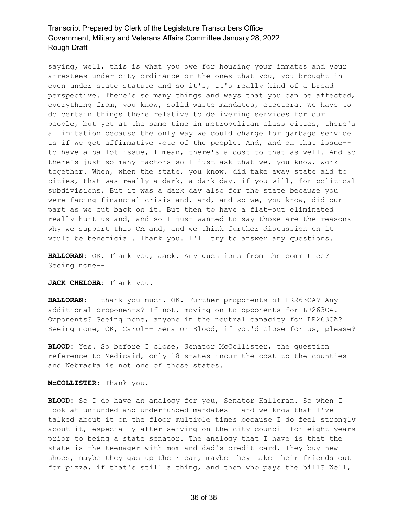saying, well, this is what you owe for housing your inmates and your arrestees under city ordinance or the ones that you, you brought in even under state statute and so it's, it's really kind of a broad perspective. There's so many things and ways that you can be affected, everything from, you know, solid waste mandates, etcetera. We have to do certain things there relative to delivering services for our people, but yet at the same time in metropolitan class cities, there's a limitation because the only way we could charge for garbage service is if we get affirmative vote of the people. And, and on that issue- to have a ballot issue, I mean, there's a cost to that as well. And so there's just so many factors so I just ask that we, you know, work together. When, when the state, you know, did take away state aid to cities, that was really a dark, a dark day, if you will, for political subdivisions. But it was a dark day also for the state because you were facing financial crisis and, and, and so we, you know, did our part as we cut back on it. But then to have a flat-out eliminated really hurt us and, and so I just wanted to say those are the reasons why we support this CA and, and we think further discussion on it would be beneficial. Thank you. I'll try to answer any questions.

**HALLORAN:** OK. Thank you, Jack. Any questions from the committee? Seeing none--

#### **JACK CHELOHA:** Thank you.

**HALLORAN:** --thank you much. OK. Further proponents of LR263CA? Any additional proponents? If not, moving on to opponents for LR263CA. Opponents? Seeing none, anyone in the neutral capacity for LR263CA? Seeing none, OK, Carol-- Senator Blood, if you'd close for us, please?

**BLOOD:** Yes. So before I close, Senator McCollister, the question reference to Medicaid, only 18 states incur the cost to the counties and Nebraska is not one of those states.

**McCOLLISTER:** Thank you.

**BLOOD:** So I do have an analogy for you, Senator Halloran. So when I look at unfunded and underfunded mandates-- and we know that I've talked about it on the floor multiple times because I do feel strongly about it, especially after serving on the city council for eight years prior to being a state senator. The analogy that I have is that the state is the teenager with mom and dad's credit card. They buy new shoes, maybe they gas up their car, maybe they take their friends out for pizza, if that's still a thing, and then who pays the bill? Well,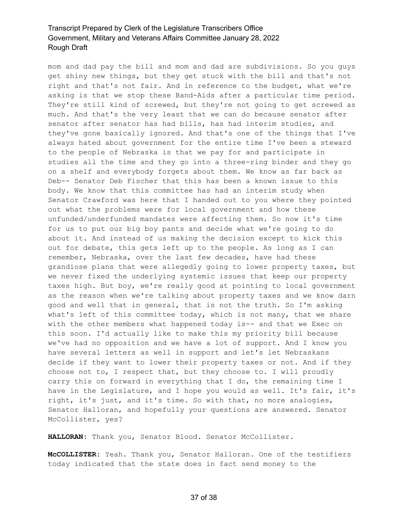mom and dad pay the bill and mom and dad are subdivisions. So you guys get shiny new things, but they get stuck with the bill and that's not right and that's not fair. And in reference to the budget, what we're asking is that we stop these Band-Aids after a particular time period. They're still kind of screwed, but they're not going to get screwed as much. And that's the very least that we can do because senator after senator after senator has had bills, has had interim studies, and they've gone basically ignored. And that's one of the things that I've always hated about government for the entire time I've been a steward to the people of Nebraska is that we pay for and participate in studies all the time and they go into a three-ring binder and they go on a shelf and everybody forgets about them. We know as far back as Deb-- Senator Deb Fischer that this has been a known issue to this body. We know that this committee has had an interim study when Senator Crawford was here that I handed out to you where they pointed out what the problems were for local government and how these unfunded/underfunded mandates were affecting them. So now it's time for us to put our big boy pants and decide what we're going to do about it. And instead of us making the decision except to kick this out for debate, this gets left up to the people. As long as I can remember, Nebraska, over the last few decades, have had these grandiose plans that were allegedly going to lower property taxes, but we never fixed the underlying systemic issues that keep our property taxes high. But boy, we're really good at pointing to local government as the reason when we're talking about property taxes and we know darn good and well that in general, that is not the truth. So I'm asking what's left of this committee today, which is not many, that we share with the other members what happened today is-- and that we Exec on this soon. I'd actually like to make this my priority bill because we've had no opposition and we have a lot of support. And I know you have several letters as well in support and let's let Nebraskans decide if they want to lower their property taxes or not. And if they choose not to, I respect that, but they choose to. I will proudly carry this on forward in everything that I do, the remaining time I have in the Legislature, and I hope you would as well. It's fair, it's right, it's just, and it's time. So with that, no more analogies, Senator Halloran, and hopefully your questions are answered. Senator McCollister, yes?

**HALLORAN:** Thank you, Senator Blood. Senator McCollister.

**McCOLLISTER:** Yeah. Thank you, Senator Halloran. One of the testifiers today indicated that the state does in fact send money to the